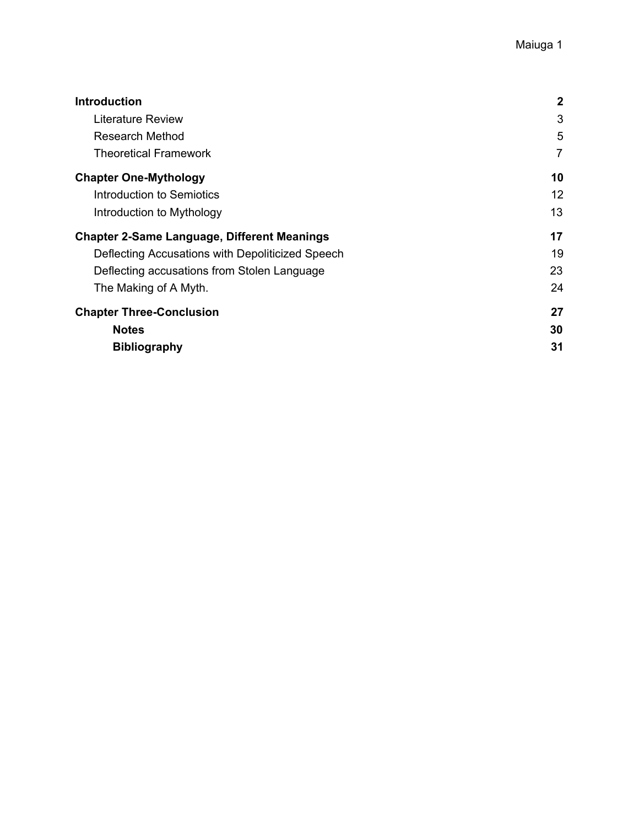| <b>Introduction</b>                                | $\mathbf{2}$   |
|----------------------------------------------------|----------------|
| Literature Review                                  | 3              |
| <b>Research Method</b>                             | 5              |
| <b>Theoretical Framework</b>                       | $\overline{7}$ |
| <b>Chapter One-Mythology</b>                       | 10             |
| Introduction to Semiotics                          | 12             |
| Introduction to Mythology                          | 13             |
| <b>Chapter 2-Same Language, Different Meanings</b> | 17             |
| Deflecting Accusations with Depoliticized Speech   | 19             |
| Deflecting accusations from Stolen Language        | 23             |
| The Making of A Myth.                              | 24             |
| <b>Chapter Three-Conclusion</b>                    | 27             |
| <b>Notes</b>                                       | 30             |
| <b>Bibliography</b>                                | 31             |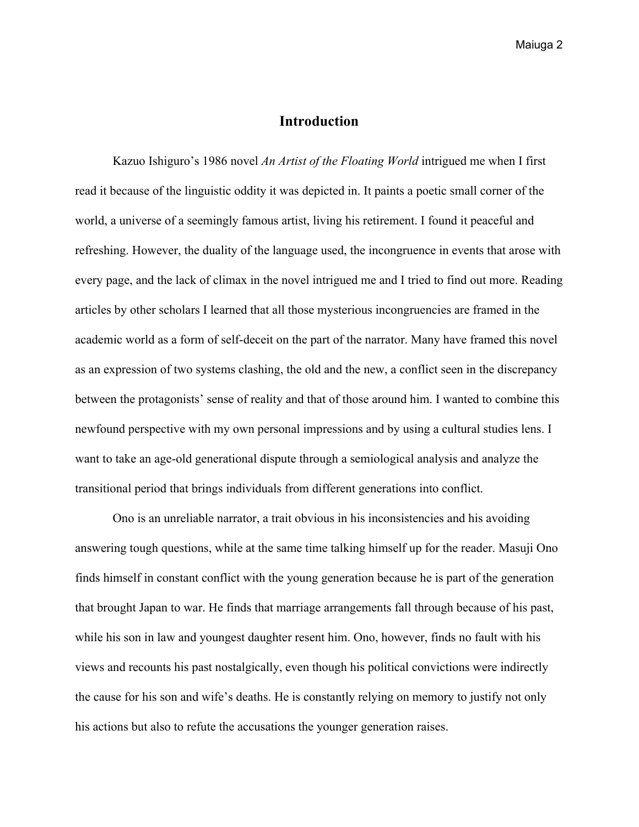# **Introduction**

<span id="page-1-0"></span>Kazuo Ishiguro's 1986 novel *An Artist of the Floating World* intrigued me when I first read it because of the linguistic oddity it was depicted in. It paints a poetic small corner of the world, a universe of a seemingly famous artist, living his retirement. I found it peaceful and refreshing. However, the duality of the language used, the incongruence in events that arose with every page, and the lack of climax in the novel intrigued me and I tried to find out more. Reading articles by other scholars I learned that all those mysterious incongruencies are framed in the academic world as a form of self-deceit on the part of the narrator. Many have framed this novel as an expression of two systems clashing, the old and the new, a conflict seen in the discrepancy between the protagonists' sense of reality and that of those around him. I wanted to combine this newfound perspective with my own personal impressions and by using a cultural studies lens. I want to take an age-old generational dispute through a semiological analysis and analyze the transitional period that brings individuals from different generations into conflict.

Ono is an unreliable narrator, a trait obvious in his inconsistencies and his avoiding answering tough questions, while at the same time talking himself up for the reader. Masuji Ono finds himself in constant conflict with the young generation because he is part of the generation that brought Japan to war. He finds that marriage arrangements fall through because of his past, while his son in law and youngest daughter resent him. Ono, however, finds no fault with his views and recounts his past nostalgically, even though his political convictions were indirectly the cause for his son and wife's deaths. He is constantly relying on memory to justify not only his actions but also to refute the accusations the younger generation raises.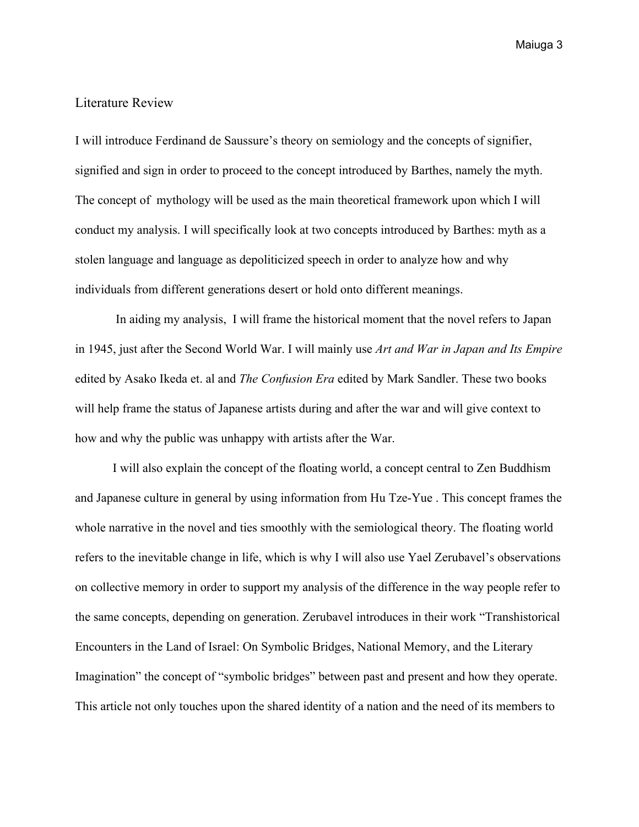## <span id="page-2-0"></span>Literature Review

I will introduce Ferdinand de Saussure's theory on semiology and the concepts of signifier, signified and sign in order to proceed to the concept introduced by Barthes, namely the myth. The concept of mythology will be used as the main theoretical framework upon which I will conduct my analysis. I will specifically look at two concepts introduced by Barthes: myth as a stolen language and language as depoliticized speech in order to analyze how and why individuals from different generations desert or hold onto different meanings.

 In aiding my analysis, I will frame the historical moment that the novel refers to Japan in 1945, just after the Second World War. I will mainly use *Art and War in Japan and Its Empire* edited by Asako Ikeda et. al and *The Confusion Era* edited by Mark Sandler. These two books will help frame the status of Japanese artists during and after the war and will give context to how and why the public was unhappy with artists after the War.

I will also explain the concept of the floating world, a concept central to Zen Buddhism and Japanese culture in general by using information from Hu Tze-Yue . This concept frames the whole narrative in the novel and ties smoothly with the semiological theory. The floating world refers to the inevitable change in life, which is why I will also use Yael Zerubavel's observations on collective memory in order to support my analysis of the difference in the way people refer to the same concepts, depending on generation. Zerubavel introduces in their work "Transhistorical Encounters in the Land of Israel: On Symbolic Bridges, National Memory, and the Literary Imagination" the concept of "symbolic bridges" between past and present and how they operate. This article not only touches upon the shared identity of a nation and the need of its members to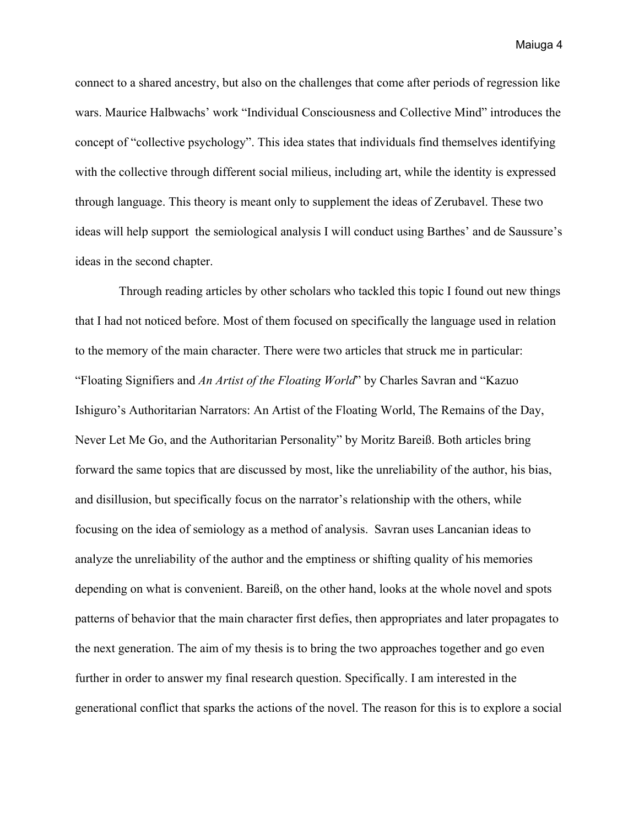connect to a shared ancestry, but also on the challenges that come after periods of regression like wars. Maurice Halbwachs' work "Individual Consciousness and Collective Mind" introduces the concept of "collective psychology". This idea states that individuals find themselves identifying with the collective through different social milieus, including art, while the identity is expressed through language. This theory is meant only to supplement the ideas of Zerubavel. These two ideas will help support the semiological analysis I will conduct using Barthes' and de Saussure's ideas in the second chapter.

 Through reading articles by other scholars who tackled this topic I found out new things that I had not noticed before. Most of them focused on specifically the language used in relation to the memory of the main character. There were two articles that struck me in particular: "Floating Signifiers and *An Artist of the Floating World*" by Charles Savran and "Kazuo Ishiguro's Authoritarian Narrators: An Artist of the Floating World, The Remains of the Day, Never Let Me Go, and the Authoritarian Personality" by Moritz Bareiß. Both articles bring forward the same topics that are discussed by most, like the unreliability of the author, his bias, and disillusion, but specifically focus on the narrator's relationship with the others, while focusing on the idea of semiology as a method of analysis. Savran uses Lancanian ideas to analyze the unreliability of the author and the emptiness or shifting quality of his memories depending on what is convenient. Bareiß, on the other hand, looks at the whole novel and spots patterns of behavior that the main character first defies, then appropriates and later propagates to the next generation. The aim of my thesis is to bring the two approaches together and go even further in order to answer my final research question. Specifically. I am interested in the generational conflict that sparks the actions of the novel. The reason for this is to explore a social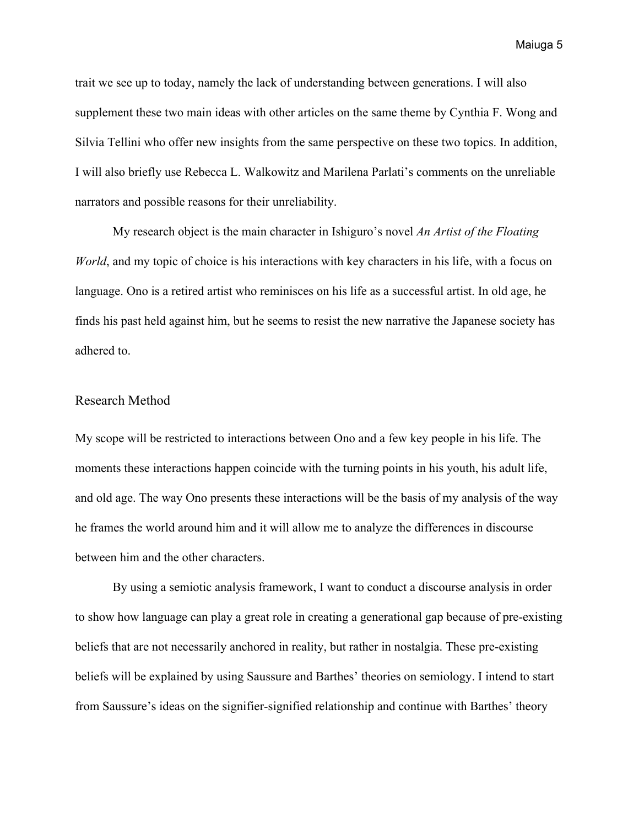trait we see up to today, namely the lack of understanding between generations. I will also supplement these two main ideas with other articles on the same theme by Cynthia F. Wong and Silvia Tellini who offer new insights from the same perspective on these two topics. In addition, I will also briefly use Rebecca L. Walkowitz and Marilena Parlati's comments on the unreliable narrators and possible reasons for their unreliability.

My research object is the main character in Ishiguro's novel *An Artist of the Floating World*, and my topic of choice is his interactions with key characters in his life, with a focus on language. Ono is a retired artist who reminisces on his life as a successful artist. In old age, he finds his past held against him, but he seems to resist the new narrative the Japanese society has adhered to.

#### <span id="page-4-0"></span>Research Method

My scope will be restricted to interactions between Ono and a few key people in his life. The moments these interactions happen coincide with the turning points in his youth, his adult life, and old age. The way Ono presents these interactions will be the basis of my analysis of the way he frames the world around him and it will allow me to analyze the differences in discourse between him and the other characters.

By using a semiotic analysis framework, I want to conduct a discourse analysis in order to show how language can play a great role in creating a generational gap because of pre-existing beliefs that are not necessarily anchored in reality, but rather in nostalgia. These pre-existing beliefs will be explained by using Saussure and Barthes' theories on semiology. I intend to start from Saussure's ideas on the signifier-signified relationship and continue with Barthes' theory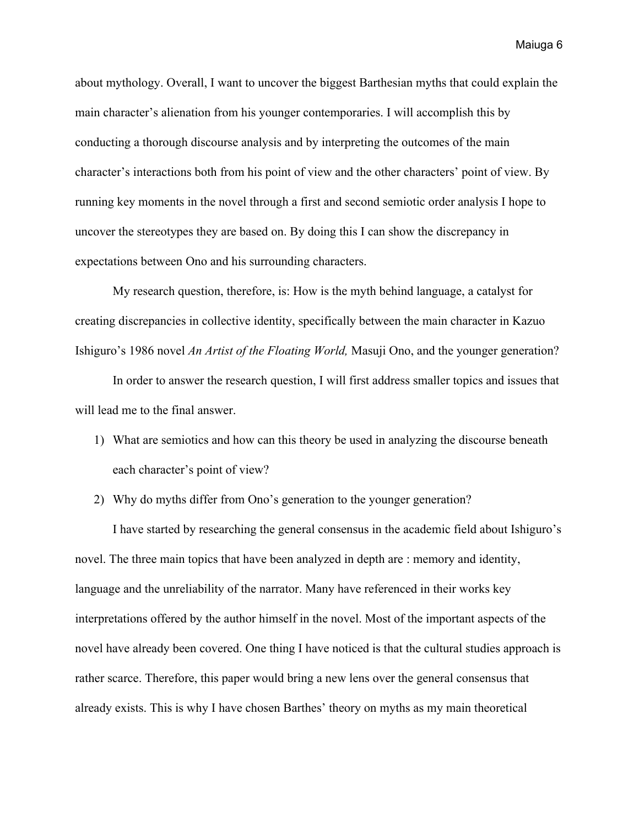about mythology. Overall, I want to uncover the biggest Barthesian myths that could explain the main character's alienation from his younger contemporaries. I will accomplish this by conducting a thorough discourse analysis and by interpreting the outcomes of the main character's interactions both from his point of view and the other characters' point of view. By running key moments in the novel through a first and second semiotic order analysis I hope to uncover the stereotypes they are based on. By doing this I can show the discrepancy in expectations between Ono and his surrounding characters.

My research question, therefore, is: How is the myth behind language, a catalyst for creating discrepancies in collective identity, specifically between the main character in Kazuo Ishiguro's 1986 novel *An Artist of the Floating World,* Masuji Ono, and the younger generation?

In order to answer the research question, I will first address smaller topics and issues that will lead me to the final answer.

- 1) What are semiotics and how can this theory be used in analyzing the discourse beneath each character's point of view?
- 2) Why do myths differ from Ono's generation to the younger generation?

I have started by researching the general consensus in the academic field about Ishiguro's novel. The three main topics that have been analyzed in depth are : memory and identity, language and the unreliability of the narrator. Many have referenced in their works key interpretations offered by the author himself in the novel. Most of the important aspects of the novel have already been covered. One thing I have noticed is that the cultural studies approach is rather scarce. Therefore, this paper would bring a new lens over the general consensus that already exists. This is why I have chosen Barthes' theory on myths as my main theoretical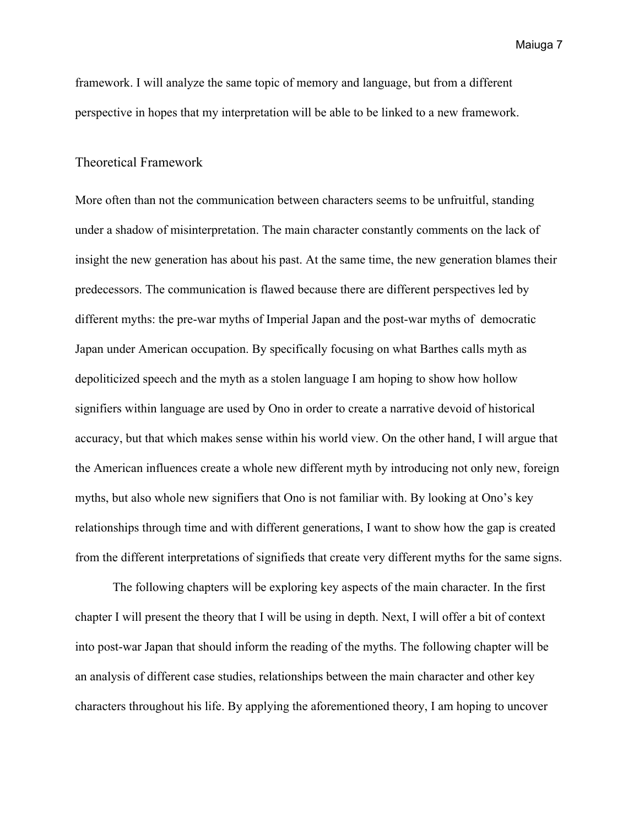framework. I will analyze the same topic of memory and language, but from a different perspective in hopes that my interpretation will be able to be linked to a new framework.

# <span id="page-6-0"></span>Theoretical Framework

More often than not the communication between characters seems to be unfruitful, standing under a shadow of misinterpretation. The main character constantly comments on the lack of insight the new generation has about his past. At the same time, the new generation blames their predecessors. The communication is flawed because there are different perspectives led by different myths: the pre-war myths of Imperial Japan and the post-war myths of democratic Japan under American occupation. By specifically focusing on what Barthes calls myth as depoliticized speech and the myth as a stolen language I am hoping to show how hollow signifiers within language are used by Ono in order to create a narrative devoid of historical accuracy, but that which makes sense within his world view. On the other hand, I will argue that the American influences create a whole new different myth by introducing not only new, foreign myths, but also whole new signifiers that Ono is not familiar with. By looking at Ono's key relationships through time and with different generations, I want to show how the gap is created from the different interpretations of signifieds that create very different myths for the same signs.

The following chapters will be exploring key aspects of the main character. In the first chapter I will present the theory that I will be using in depth. Next, I will offer a bit of context into post-war Japan that should inform the reading of the myths. The following chapter will be an analysis of different case studies, relationships between the main character and other key characters throughout his life. By applying the aforementioned theory, I am hoping to uncover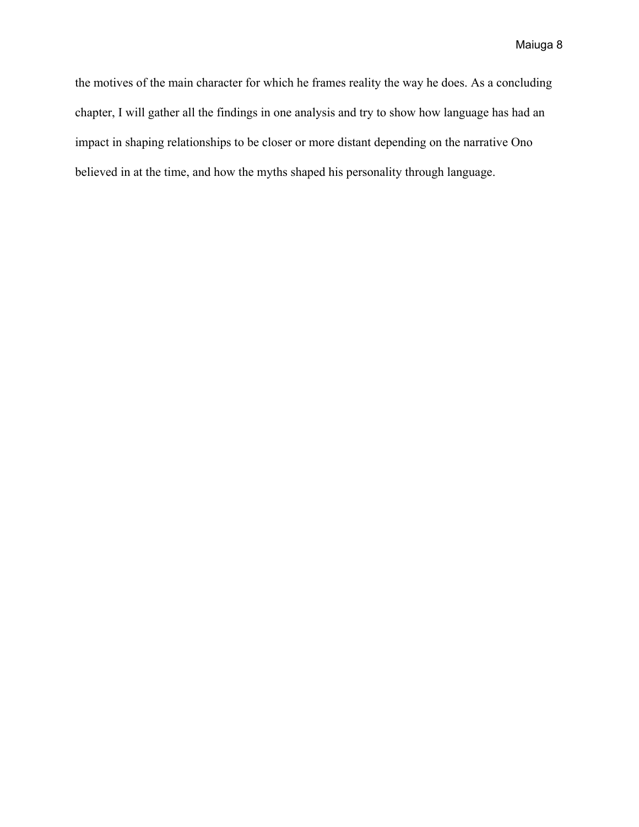the motives of the main character for which he frames reality the way he does. As a concluding chapter, I will gather all the findings in one analysis and try to show how language has had an impact in shaping relationships to be closer or more distant depending on the narrative Ono believed in at the time, and how the myths shaped his personality through language.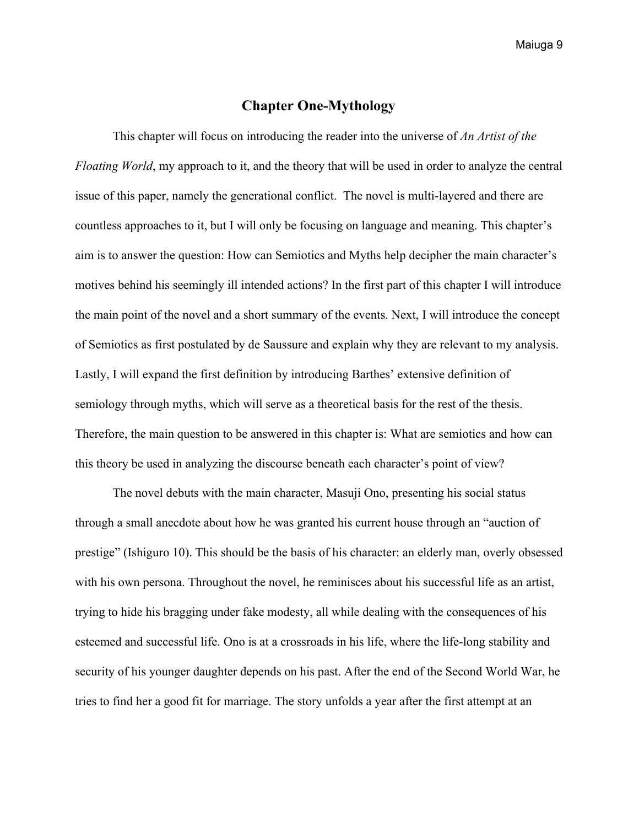## **Chapter One-Mythology**

<span id="page-8-0"></span>This chapter will focus on introducing the reader into the universe of *An Artist of the Floating World*, my approach to it, and the theory that will be used in order to analyze the central issue of this paper, namely the generational conflict. The novel is multi-layered and there are countless approaches to it, but I will only be focusing on language and meaning. This chapter's aim is to answer the question: How can Semiotics and Myths help decipher the main character's motives behind his seemingly ill intended actions? In the first part of this chapter I will introduce the main point of the novel and a short summary of the events. Next, I will introduce the concept of Semiotics as first postulated by de Saussure and explain why they are relevant to my analysis. Lastly, I will expand the first definition by introducing Barthes' extensive definition of semiology through myths, which will serve as a theoretical basis for the rest of the thesis. Therefore, the main question to be answered in this chapter is: What are semiotics and how can this theory be used in analyzing the discourse beneath each character's point of view?

The novel debuts with the main character, Masuji Ono, presenting his social status through a small anecdote about how he was granted his current house through an "auction of prestige" (Ishiguro 10). This should be the basis of his character: an elderly man, overly obsessed with his own persona. Throughout the novel, he reminisces about his successful life as an artist, trying to hide his bragging under fake modesty, all while dealing with the consequences of his esteemed and successful life. Ono is at a crossroads in his life, where the life-long stability and security of his younger daughter depends on his past. After the end of the Second World War, he tries to find her a good fit for marriage. The story unfolds a year after the first attempt at an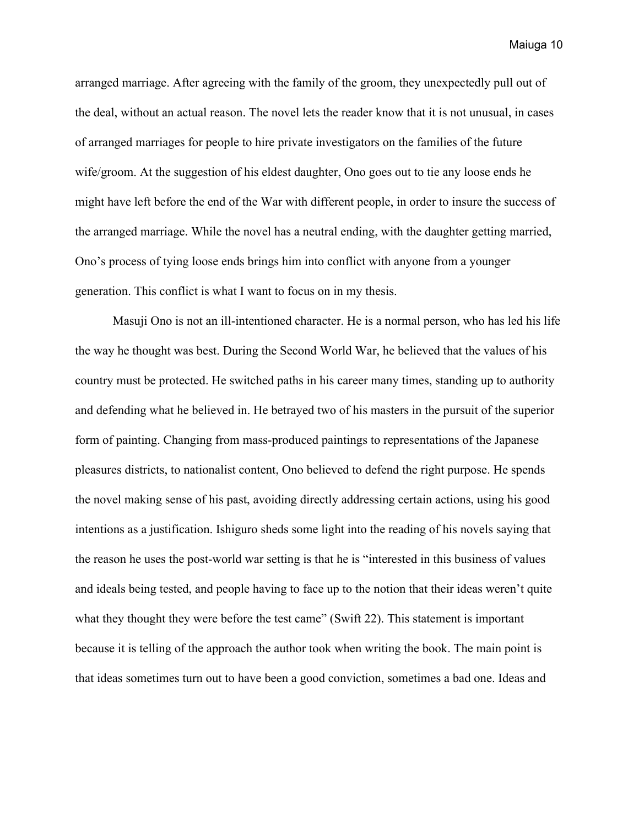arranged marriage. After agreeing with the family of the groom, they unexpectedly pull out of the deal, without an actual reason. The novel lets the reader know that it is not unusual, in cases of arranged marriages for people to hire private investigators on the families of the future wife/groom. At the suggestion of his eldest daughter, Ono goes out to tie any loose ends he might have left before the end of the War with different people, in order to insure the success of the arranged marriage. While the novel has a neutral ending, with the daughter getting married, Ono's process of tying loose ends brings him into conflict with anyone from a younger generation. This conflict is what I want to focus on in my thesis.

Masuji Ono is not an ill-intentioned character. He is a normal person, who has led his life the way he thought was best. During the Second World War, he believed that the values of his country must be protected. He switched paths in his career many times, standing up to authority and defending what he believed in. He betrayed two of his masters in the pursuit of the superior form of painting. Changing from mass-produced paintings to representations of the Japanese pleasures districts, to nationalist content, Ono believed to defend the right purpose. He spends the novel making sense of his past, avoiding directly addressing certain actions, using his good intentions as a justification. Ishiguro sheds some light into the reading of his novels saying that the reason he uses the post-world war setting is that he is "interested in this business of values and ideals being tested, and people having to face up to the notion that their ideas weren't quite what they thought they were before the test came" (Swift 22). This statement is important because it is telling of the approach the author took when writing the book. The main point is that ideas sometimes turn out to have been a good conviction, sometimes a bad one. Ideas and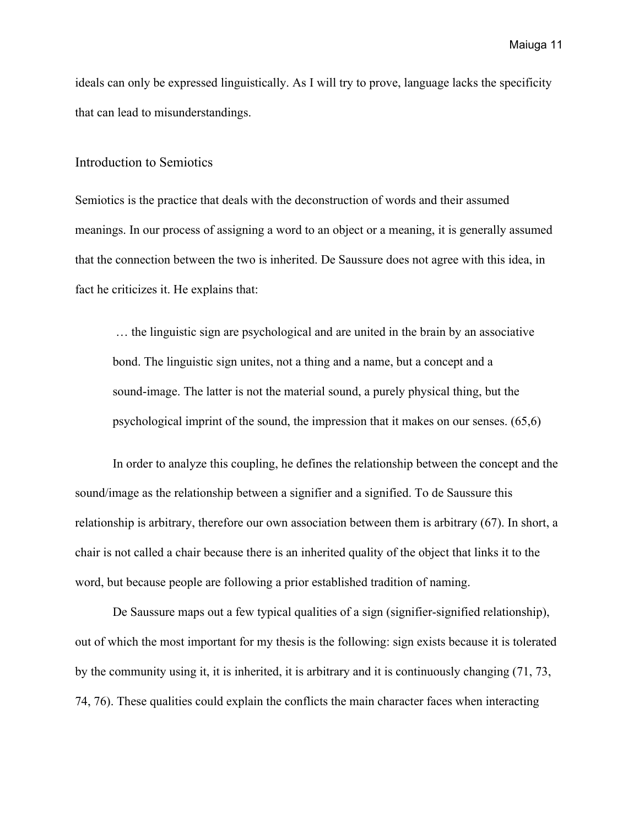ideals can only be expressed linguistically. As I will try to prove, language lacks the specificity that can lead to misunderstandings.

#### <span id="page-10-0"></span>Introduction to Semiotics

Semiotics is the practice that deals with the deconstruction of words and their assumed meanings. In our process of assigning a word to an object or a meaning, it is generally assumed that the connection between the two is inherited. De Saussure does not agree with this idea, in fact he criticizes it. He explains that:

 … the linguistic sign are psychological and are united in the brain by an associative bond. The linguistic sign unites, not a thing and a name, but a concept and a sound-image. The latter is not the material sound, a purely physical thing, but the psychological imprint of the sound, the impression that it makes on our senses. (65,6)

In order to analyze this coupling, he defines the relationship between the concept and the sound/image as the relationship between a signifier and a signified. To de Saussure this relationship is arbitrary, therefore our own association between them is arbitrary (67). In short, a chair is not called a chair because there is an inherited quality of the object that links it to the word, but because people are following a prior established tradition of naming.

De Saussure maps out a few typical qualities of a sign (signifier-signified relationship), out of which the most important for my thesis is the following: sign exists because it is tolerated by the community using it, it is inherited, it is arbitrary and it is continuously changing (71, 73, 74, 76). These qualities could explain the conflicts the main character faces when interacting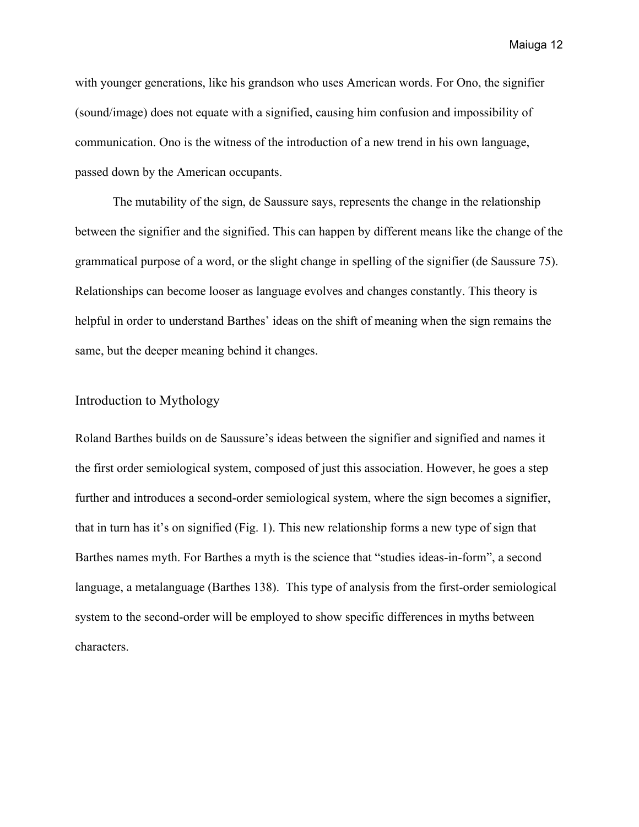with younger generations, like his grandson who uses American words. For Ono, the signifier (sound/image) does not equate with a signified, causing him confusion and impossibility of communication. Ono is the witness of the introduction of a new trend in his own language, passed down by the American occupants.

The mutability of the sign, de Saussure says, represents the change in the relationship between the signifier and the signified. This can happen by different means like the change of the grammatical purpose of a word, or the slight change in spelling of the signifier (de Saussure 75). Relationships can become looser as language evolves and changes constantly. This theory is helpful in order to understand Barthes' ideas on the shift of meaning when the sign remains the same, but the deeper meaning behind it changes.

### <span id="page-11-0"></span>Introduction to Mythology

Roland Barthes builds on de Saussure's ideas between the signifier and signified and names it the first order semiological system, composed of just this association. However, he goes a step further and introduces a second-order semiological system, where the sign becomes a signifier, that in turn has it's on signified (Fig. 1). This new relationship forms a new type of sign that Barthes names myth. For Barthes a myth is the science that "studies ideas-in-form", a second language, a metalanguage (Barthes 138). This type of analysis from the first-order semiological system to the second-order will be employed to show specific differences in myths between characters.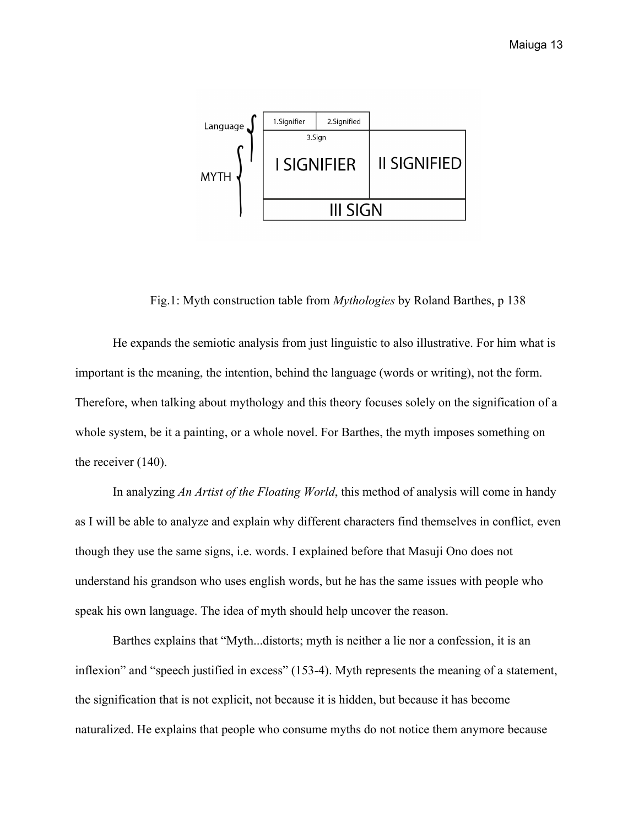

Fig.1: Myth construction table from *Mythologies* by Roland Barthes, p 138

He expands the semiotic analysis from just linguistic to also illustrative. For him what is important is the meaning, the intention, behind the language (words or writing), not the form. Therefore, when talking about mythology and this theory focuses solely on the signification of a whole system, be it a painting, or a whole novel. For Barthes, the myth imposes something on the receiver (140).

In analyzing *An Artist of the Floating World*, this method of analysis will come in handy as I will be able to analyze and explain why different characters find themselves in conflict, even though they use the same signs, i.e. words. I explained before that Masuji Ono does not understand his grandson who uses english words, but he has the same issues with people who speak his own language. The idea of myth should help uncover the reason.

Barthes explains that "Myth...distorts; myth is neither a lie nor a confession, it is an inflexion" and "speech justified in excess" (153-4). Myth represents the meaning of a statement, the signification that is not explicit, not because it is hidden, but because it has become naturalized. He explains that people who consume myths do not notice them anymore because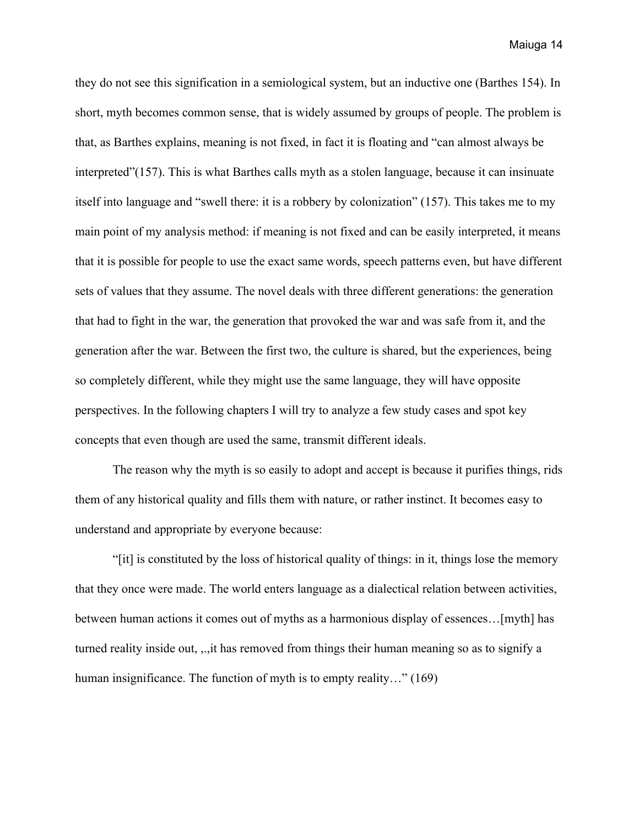they do not see this signification in a semiological system, but an inductive one (Barthes 154). In short, myth becomes common sense, that is widely assumed by groups of people. The problem is that, as Barthes explains, meaning is not fixed, in fact it is floating and "can almost always be interpreted"(157). This is what Barthes calls myth as a stolen language, because it can insinuate itself into language and "swell there: it is a robbery by colonization" (157). This takes me to my main point of my analysis method: if meaning is not fixed and can be easily interpreted, it means that it is possible for people to use the exact same words, speech patterns even, but have different sets of values that they assume. The novel deals with three different generations: the generation that had to fight in the war, the generation that provoked the war and was safe from it, and the generation after the war. Between the first two, the culture is shared, but the experiences, being so completely different, while they might use the same language, they will have opposite perspectives. In the following chapters I will try to analyze a few study cases and spot key concepts that even though are used the same, transmit different ideals.

The reason why the myth is so easily to adopt and accept is because it purifies things, rids them of any historical quality and fills them with nature, or rather instinct. It becomes easy to understand and appropriate by everyone because:

"[it] is constituted by the loss of historical quality of things: in it, things lose the memory that they once were made. The world enters language as a dialectical relation between activities, between human actions it comes out of myths as a harmonious display of essences…[myth] has turned reality inside out, ,.,it has removed from things their human meaning so as to signify a human insignificance. The function of myth is to empty reality..." (169)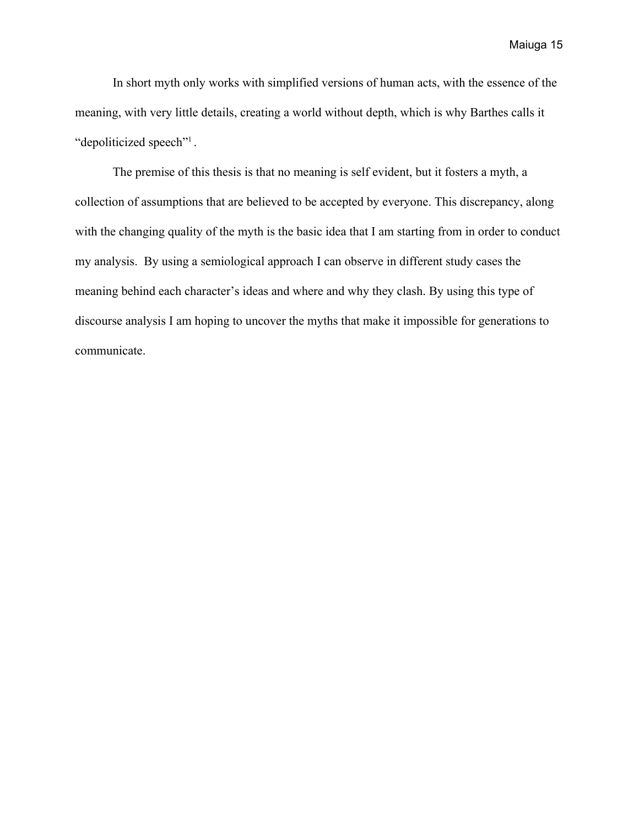In short myth only works with simplified versions of human acts, with the essence of the meaning, with very little details, creating a world without depth, which is why Barthes calls it "depoliticized speech"<sup>1</sup>.

The premise of this thesis is that no meaning is self evident, but it fosters a myth, a collection of assumptions that are believed to be accepted by everyone. This discrepancy, along with the changing quality of the myth is the basic idea that I am starting from in order to conduct my analysis. By using a semiological approach I can observe in different study cases the meaning behind each character's ideas and where and why they clash. By using this type of discourse analysis I am hoping to uncover the myths that make it impossible for generations to communicate.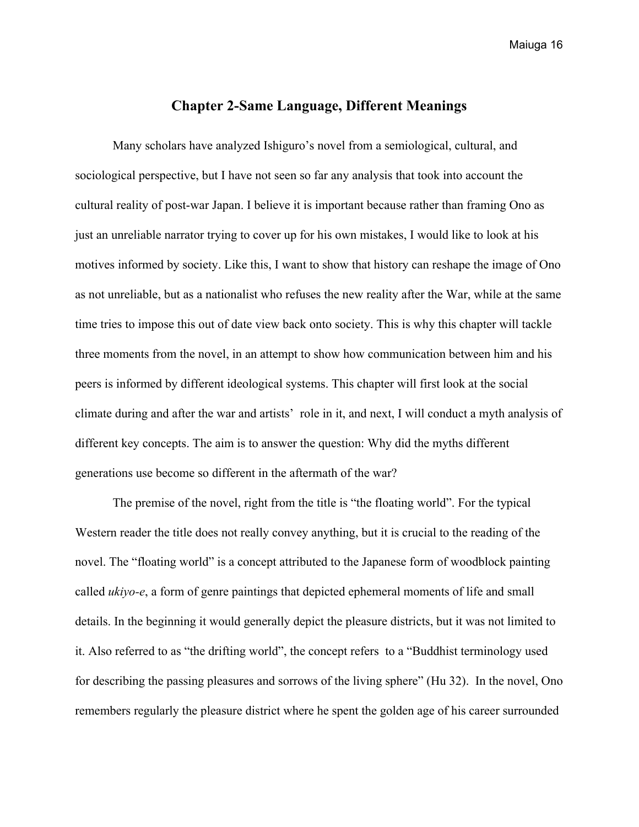# **Chapter 2-Same Language, Different Meanings**

<span id="page-15-0"></span>Many scholars have analyzed Ishiguro's novel from a semiological, cultural, and sociological perspective, but I have not seen so far any analysis that took into account the cultural reality of post-war Japan. I believe it is important because rather than framing Ono as just an unreliable narrator trying to cover up for his own mistakes, I would like to look at his motives informed by society. Like this, I want to show that history can reshape the image of Ono as not unreliable, but as a nationalist who refuses the new reality after the War, while at the same time tries to impose this out of date view back onto society. This is why this chapter will tackle three moments from the novel, in an attempt to show how communication between him and his peers is informed by different ideological systems. This chapter will first look at the social climate during and after the war and artists' role in it, and next, I will conduct a myth analysis of different key concepts. The aim is to answer the question: Why did the myths different generations use become so different in the aftermath of the war?

The premise of the novel, right from the title is "the floating world". For the typical Western reader the title does not really convey anything, but it is crucial to the reading of the novel. The "floating world" is a concept attributed to the Japanese form of woodblock painting called *ukiyo-e*, a form of genre paintings that depicted ephemeral moments of life and small details. In the beginning it would generally depict the pleasure districts, but it was not limited to it. Also referred to as "the drifting world", the concept refers to a "Buddhist terminology used for describing the passing pleasures and sorrows of the living sphere" (Hu 32). In the novel, Ono remembers regularly the pleasure district where he spent the golden age of his career surrounded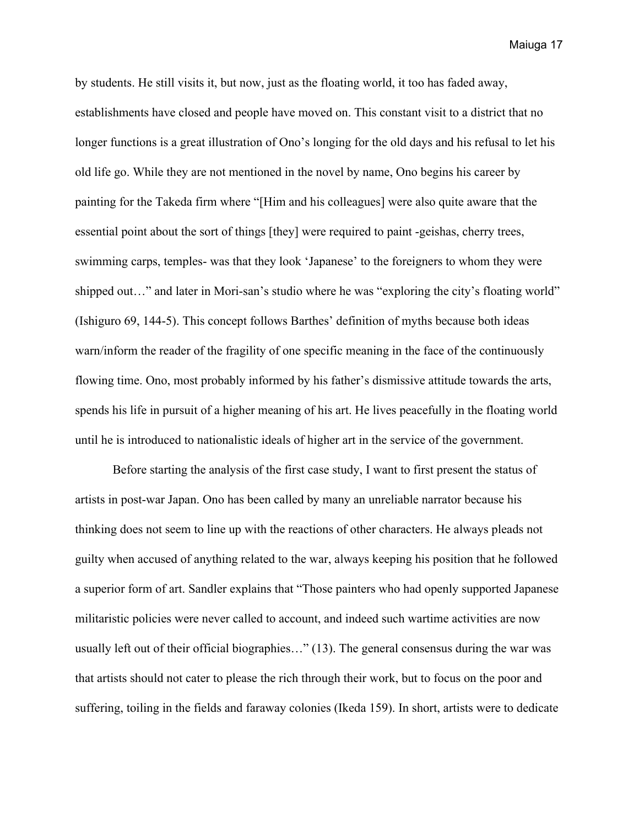by students. He still visits it, but now, just as the floating world, it too has faded away, establishments have closed and people have moved on. This constant visit to a district that no longer functions is a great illustration of Ono's longing for the old days and his refusal to let his old life go. While they are not mentioned in the novel by name, Ono begins his career by painting for the Takeda firm where "[Him and his colleagues] were also quite aware that the essential point about the sort of things [they] were required to paint -geishas, cherry trees, swimming carps, temples- was that they look 'Japanese' to the foreigners to whom they were shipped out…" and later in Mori-san's studio where he was "exploring the city's floating world" (Ishiguro 69, 144-5). This concept follows Barthes' definition of myths because both ideas warn/inform the reader of the fragility of one specific meaning in the face of the continuously flowing time. Ono, most probably informed by his father's dismissive attitude towards the arts, spends his life in pursuit of a higher meaning of his art. He lives peacefully in the floating world until he is introduced to nationalistic ideals of higher art in the service of the government.

Before starting the analysis of the first case study, I want to first present the status of artists in post-war Japan. Ono has been called by many an unreliable narrator because his thinking does not seem to line up with the reactions of other characters. He always pleads not guilty when accused of anything related to the war, always keeping his position that he followed a superior form of art. Sandler explains that "Those painters who had openly supported Japanese militaristic policies were never called to account, and indeed such wartime activities are now usually left out of their official biographies…" (13). The general consensus during the war was that artists should not cater to please the rich through their work, but to focus on the poor and suffering, toiling in the fields and faraway colonies (Ikeda 159). In short, artists were to dedicate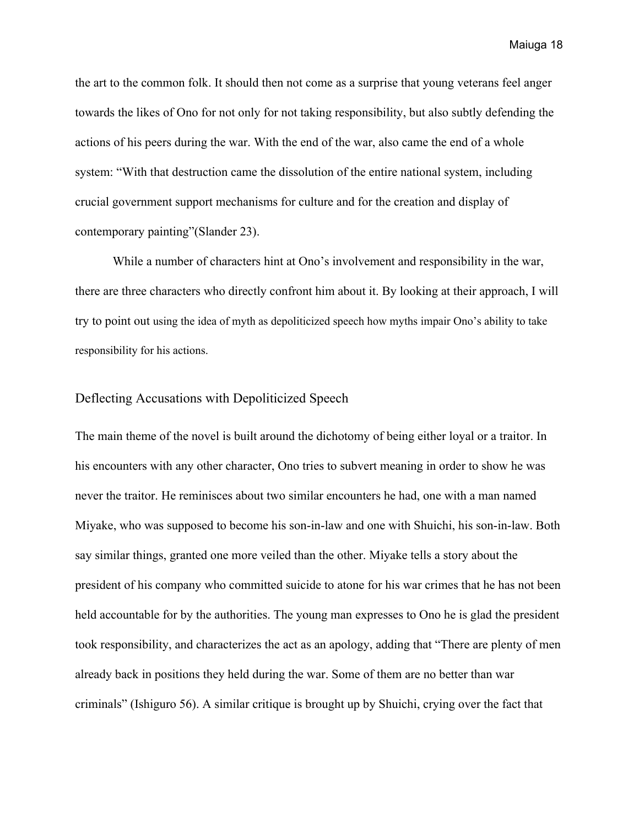the art to the common folk. It should then not come as a surprise that young veterans feel anger towards the likes of Ono for not only for not taking responsibility, but also subtly defending the actions of his peers during the war. With the end of the war, also came the end of a whole system: "With that destruction came the dissolution of the entire national system, including crucial government support mechanisms for culture and for the creation and display of contemporary painting"(Slander 23).

While a number of characters hint at Ono's involvement and responsibility in the war, there are three characters who directly confront him about it. By looking at their approach, I will try to point out using the idea of myth as depoliticized speech how myths impair Ono's ability to take responsibility for his actions.

## <span id="page-17-0"></span>Deflecting Accusations with Depoliticized Speech

The main theme of the novel is built around the dichotomy of being either loyal or a traitor. In his encounters with any other character, Ono tries to subvert meaning in order to show he was never the traitor. He reminisces about two similar encounters he had, one with a man named Miyake, who was supposed to become his son-in-law and one with Shuichi, his son-in-law. Both say similar things, granted one more veiled than the other. Miyake tells a story about the president of his company who committed suicide to atone for his war crimes that he has not been held accountable for by the authorities. The young man expresses to Ono he is glad the president took responsibility, and characterizes the act as an apology, adding that "There are plenty of men already back in positions they held during the war. Some of them are no better than war criminals" (Ishiguro 56). A similar critique is brought up by Shuichi, crying over the fact that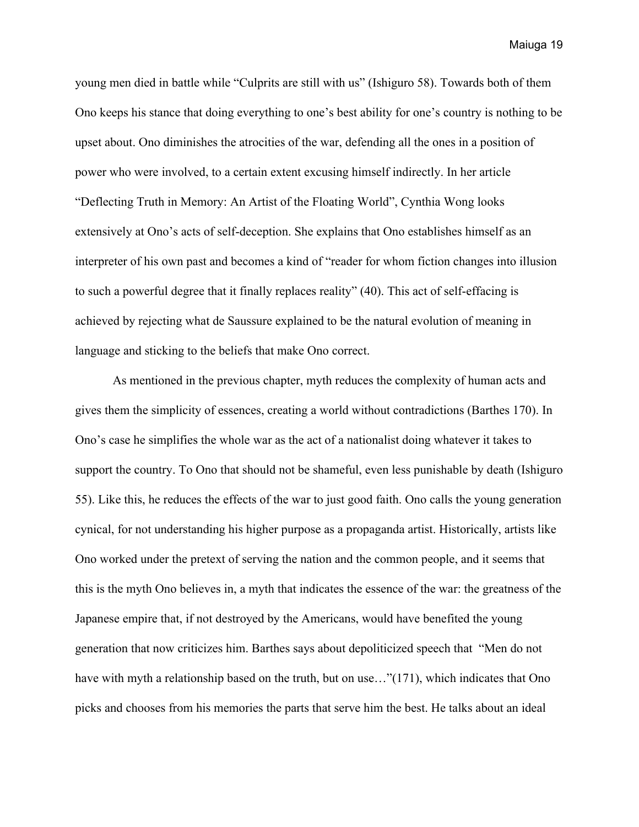young men died in battle while "Culprits are still with us" (Ishiguro 58). Towards both of them Ono keeps his stance that doing everything to one's best ability for one's country is nothing to be upset about. Ono diminishes the atrocities of the war, defending all the ones in a position of power who were involved, to a certain extent excusing himself indirectly. In her article "Deflecting Truth in Memory: An Artist of the Floating World", Cynthia Wong looks extensively at Ono's acts of self-deception. She explains that Ono establishes himself as an interpreter of his own past and becomes a kind of "reader for whom fiction changes into illusion to such a powerful degree that it finally replaces reality" (40). This act of self-effacing is achieved by rejecting what de Saussure explained to be the natural evolution of meaning in language and sticking to the beliefs that make Ono correct.

As mentioned in the previous chapter, myth reduces the complexity of human acts and gives them the simplicity of essences, creating a world without contradictions (Barthes 170). In Ono's case he simplifies the whole war as the act of a nationalist doing whatever it takes to support the country. To Ono that should not be shameful, even less punishable by death (Ishiguro 55). Like this, he reduces the effects of the war to just good faith. Ono calls the young generation cynical, for not understanding his higher purpose as a propaganda artist. Historically, artists like Ono worked under the pretext of serving the nation and the common people, and it seems that this is the myth Ono believes in, a myth that indicates the essence of the war: the greatness of the Japanese empire that, if not destroyed by the Americans, would have benefited the young generation that now criticizes him. Barthes says about depoliticized speech that "Men do not have with myth a relationship based on the truth, but on use..."(171), which indicates that Ono picks and chooses from his memories the parts that serve him the best. He talks about an ideal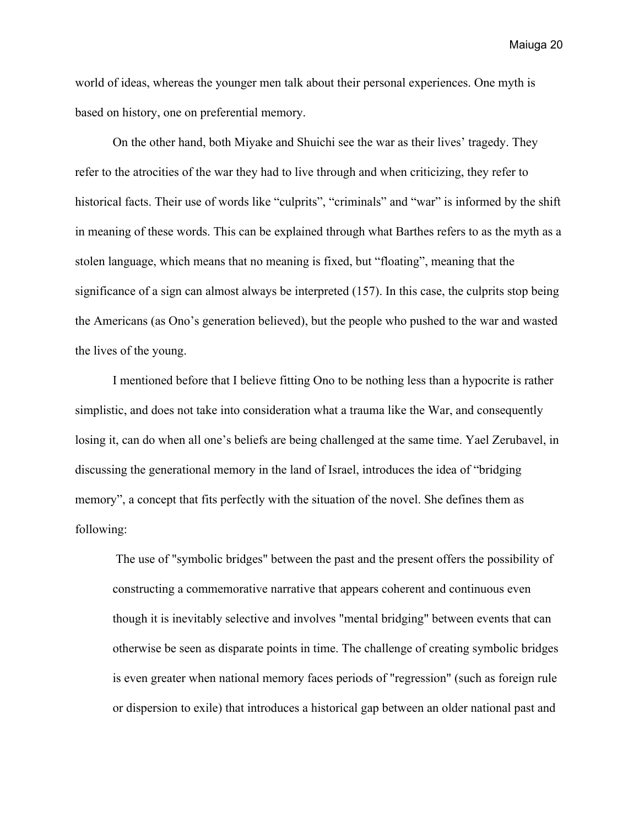world of ideas, whereas the younger men talk about their personal experiences. One myth is based on history, one on preferential memory.

On the other hand, both Miyake and Shuichi see the war as their lives' tragedy. They refer to the atrocities of the war they had to live through and when criticizing, they refer to historical facts. Their use of words like "culprits", "criminals" and "war" is informed by the shift in meaning of these words. This can be explained through what Barthes refers to as the myth as a stolen language, which means that no meaning is fixed, but "floating", meaning that the significance of a sign can almost always be interpreted (157). In this case, the culprits stop being the Americans (as Ono's generation believed), but the people who pushed to the war and wasted the lives of the young.

I mentioned before that I believe fitting Ono to be nothing less than a hypocrite is rather simplistic, and does not take into consideration what a trauma like the War, and consequently losing it, can do when all one's beliefs are being challenged at the same time. Yael Zerubavel, in discussing the generational memory in the land of Israel, introduces the idea of "bridging memory", a concept that fits perfectly with the situation of the novel. She defines them as following:

 The use of "symbolic bridges" between the past and the present offers the possibility of constructing a commemorative narrative that appears coherent and continuous even though it is inevitably selective and involves "mental bridging" between events that can otherwise be seen as disparate points in time. The challenge of creating symbolic bridges is even greater when national memory faces periods of "regression" (such as foreign rule or dispersion to exile) that introduces a historical gap between an older national past and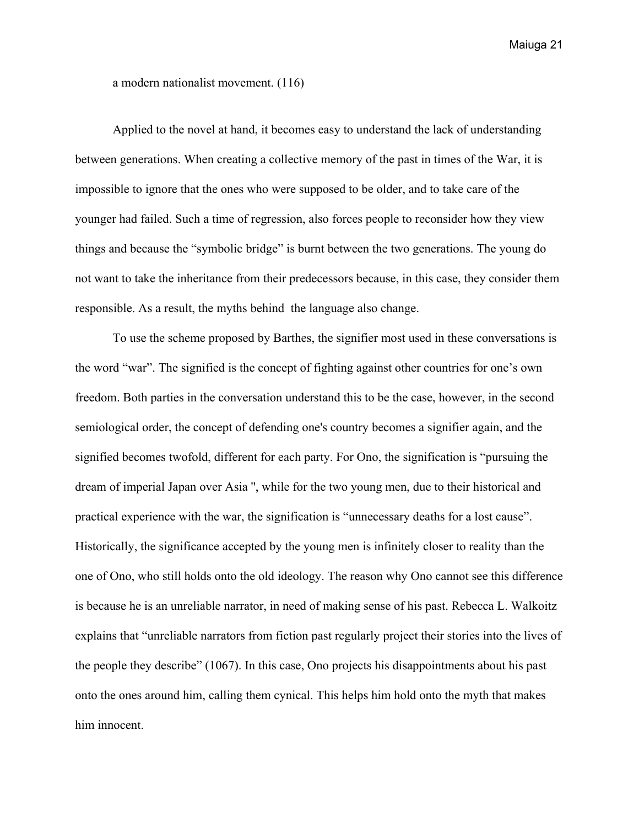a modern nationalist movement. (116)

Applied to the novel at hand, it becomes easy to understand the lack of understanding between generations. When creating a collective memory of the past in times of the War, it is impossible to ignore that the ones who were supposed to be older, and to take care of the younger had failed. Such a time of regression, also forces people to reconsider how they view things and because the "symbolic bridge" is burnt between the two generations. The young do not want to take the inheritance from their predecessors because, in this case, they consider them responsible. As a result, the myths behind the language also change.

To use the scheme proposed by Barthes, the signifier most used in these conversations is the word "war". The signified is the concept of fighting against other countries for one's own freedom. Both parties in the conversation understand this to be the case, however, in the second semiological order, the concept of defending one's country becomes a signifier again, and the signified becomes twofold, different for each party. For Ono, the signification is "pursuing the dream of imperial Japan over Asia '', while for the two young men, due to their historical and practical experience with the war, the signification is "unnecessary deaths for a lost cause". Historically, the significance accepted by the young men is infinitely closer to reality than the one of Ono, who still holds onto the old ideology. The reason why Ono cannot see this difference is because he is an unreliable narrator, in need of making sense of his past. Rebecca L. Walkoitz explains that "unreliable narrators from fiction past regularly project their stories into the lives of the people they describe" (1067). In this case, Ono projects his disappointments about his past onto the ones around him, calling them cynical. This helps him hold onto the myth that makes him innocent.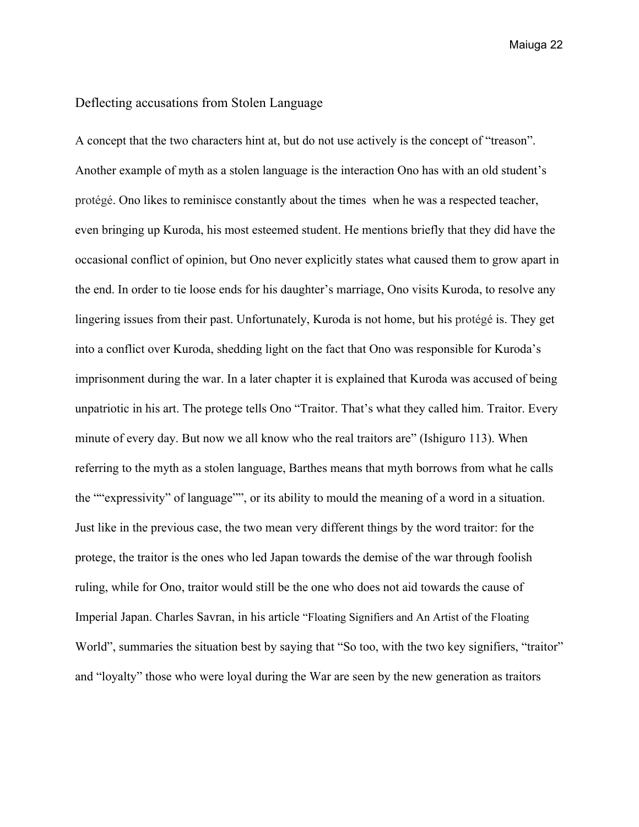## <span id="page-21-0"></span>Deflecting accusations from Stolen Language

A concept that the two characters hint at, but do not use actively is the concept of "treason". Another example of myth as a stolen language is the interaction Ono has with an old student's protégé. Ono likes to reminisce constantly about the times when he was a respected teacher, even bringing up Kuroda, his most esteemed student. He mentions briefly that they did have the occasional conflict of opinion, but Ono never explicitly states what caused them to grow apart in the end. In order to tie loose ends for his daughter's marriage, Ono visits Kuroda, to resolve any lingering issues from their past. Unfortunately, Kuroda is not home, but his protégé is. They get into a conflict over Kuroda, shedding light on the fact that Ono was responsible for Kuroda's imprisonment during the war. In a later chapter it is explained that Kuroda was accused of being unpatriotic in his art. The protege tells Ono "Traitor. That's what they called him. Traitor. Every minute of every day. But now we all know who the real traitors are" (Ishiguro 113). When referring to the myth as a stolen language, Barthes means that myth borrows from what he calls the ""expressivity" of language"", or its ability to mould the meaning of a word in a situation. Just like in the previous case, the two mean very different things by the word traitor: for the protege, the traitor is the ones who led Japan towards the demise of the war through foolish ruling, while for Ono, traitor would still be the one who does not aid towards the cause of Imperial Japan. Charles Savran, in his article "Floating Signifiers and An Artist of the Floating World", summaries the situation best by saying that "So too, with the two key signifiers, "traitor" and "loyalty" those who were loyal during the War are seen by the new generation as traitors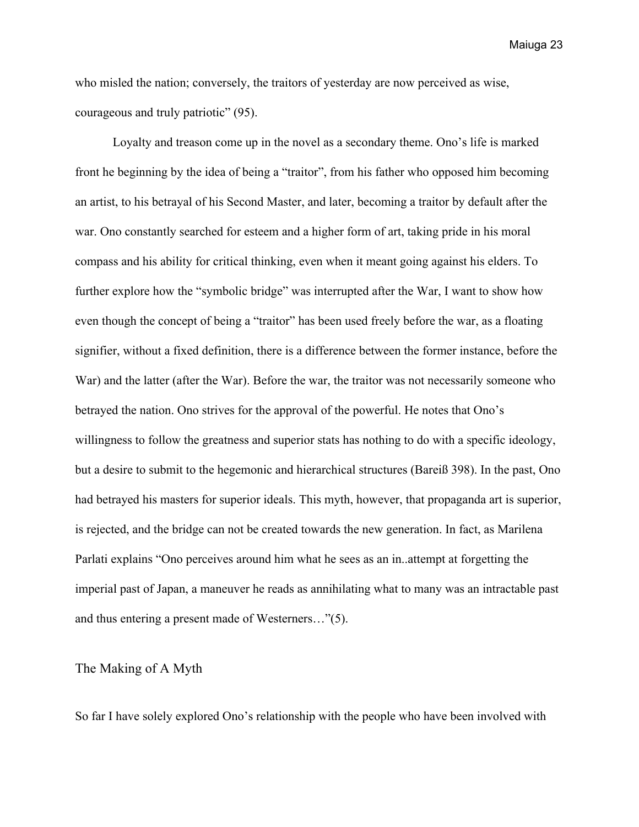who misled the nation; conversely, the traitors of yesterday are now perceived as wise, courageous and truly patriotic" (95).

Loyalty and treason come up in the novel as a secondary theme. Ono's life is marked front he beginning by the idea of being a "traitor", from his father who opposed him becoming an artist, to his betrayal of his Second Master, and later, becoming a traitor by default after the war. Ono constantly searched for esteem and a higher form of art, taking pride in his moral compass and his ability for critical thinking, even when it meant going against his elders. To further explore how the "symbolic bridge" was interrupted after the War, I want to show how even though the concept of being a "traitor" has been used freely before the war, as a floating signifier, without a fixed definition, there is a difference between the former instance, before the War) and the latter (after the War). Before the war, the traitor was not necessarily someone who betrayed the nation. Ono strives for the approval of the powerful. He notes that Ono's willingness to follow the greatness and superior stats has nothing to do with a specific ideology, but a desire to submit to the hegemonic and hierarchical structures (Bareiß 398). In the past, Ono had betrayed his masters for superior ideals. This myth, however, that propaganda art is superior, is rejected, and the bridge can not be created towards the new generation. In fact, as Marilena Parlati explains "Ono perceives around him what he sees as an in..attempt at forgetting the imperial past of Japan, a maneuver he reads as annihilating what to many was an intractable past and thus entering a present made of Westerners…"(5).

## <span id="page-22-0"></span>The Making of A Myth

So far I have solely explored Ono's relationship with the people who have been involved with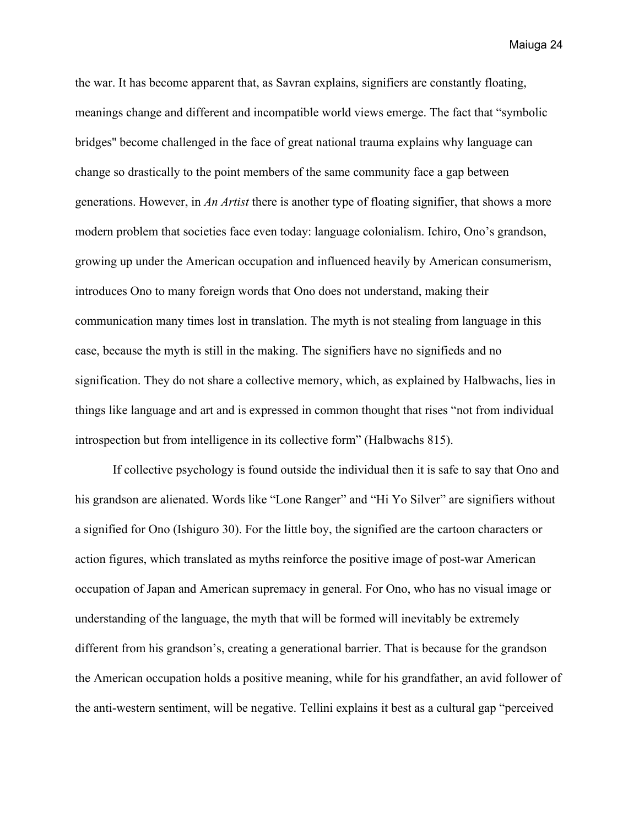the war. It has become apparent that, as Savran explains, signifiers are constantly floating, meanings change and different and incompatible world views emerge. The fact that "symbolic bridges'' become challenged in the face of great national trauma explains why language can change so drastically to the point members of the same community face a gap between generations. However, in *An Artist* there is another type of floating signifier, that shows a more modern problem that societies face even today: language colonialism. Ichiro, Ono's grandson, growing up under the American occupation and influenced heavily by American consumerism, introduces Ono to many foreign words that Ono does not understand, making their communication many times lost in translation. The myth is not stealing from language in this case, because the myth is still in the making. The signifiers have no signifieds and no signification. They do not share a collective memory, which, as explained by Halbwachs, lies in things like language and art and is expressed in common thought that rises "not from individual introspection but from intelligence in its collective form" (Halbwachs 815).

If collective psychology is found outside the individual then it is safe to say that Ono and his grandson are alienated. Words like "Lone Ranger" and "Hi Yo Silver" are signifiers without a signified for Ono (Ishiguro 30). For the little boy, the signified are the cartoon characters or action figures, which translated as myths reinforce the positive image of post-war American occupation of Japan and American supremacy in general. For Ono, who has no visual image or understanding of the language, the myth that will be formed will inevitably be extremely different from his grandson's, creating a generational barrier. That is because for the grandson the American occupation holds a positive meaning, while for his grandfather, an avid follower of the anti-western sentiment, will be negative. Tellini explains it best as a cultural gap "perceived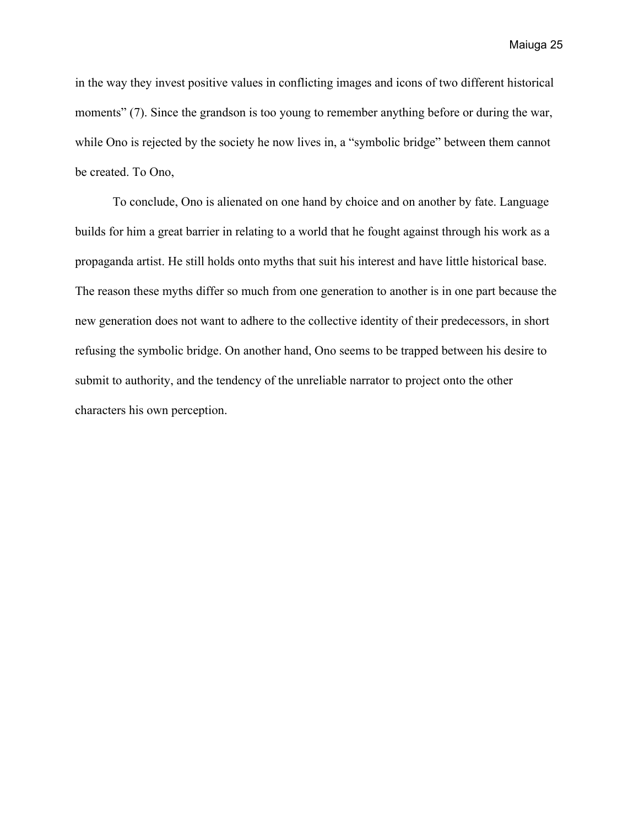in the way they invest positive values in conflicting images and icons of two different historical moments" (7). Since the grandson is too young to remember anything before or during the war, while Ono is rejected by the society he now lives in, a "symbolic bridge" between them cannot be created. To Ono,

To conclude, Ono is alienated on one hand by choice and on another by fate. Language builds for him a great barrier in relating to a world that he fought against through his work as a propaganda artist. He still holds onto myths that suit his interest and have little historical base. The reason these myths differ so much from one generation to another is in one part because the new generation does not want to adhere to the collective identity of their predecessors, in short refusing the symbolic bridge. On another hand, Ono seems to be trapped between his desire to submit to authority, and the tendency of the unreliable narrator to project onto the other characters his own perception.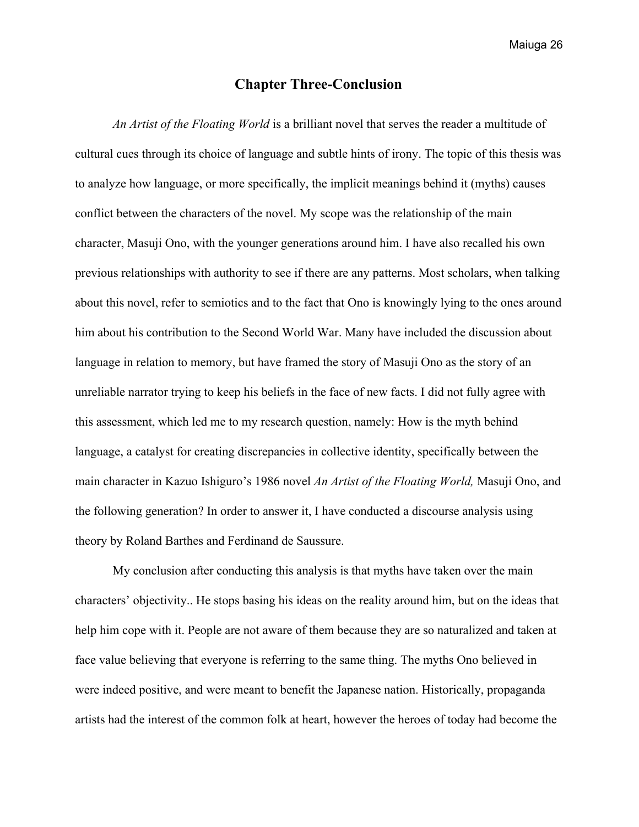# **Chapter Three-Conclusion**

<span id="page-25-0"></span>*An Artist of the Floating World* is a brilliant novel that serves the reader a multitude of cultural cues through its choice of language and subtle hints of irony. The topic of this thesis was to analyze how language, or more specifically, the implicit meanings behind it (myths) causes conflict between the characters of the novel. My scope was the relationship of the main character, Masuji Ono, with the younger generations around him. I have also recalled his own previous relationships with authority to see if there are any patterns. Most scholars, when talking about this novel, refer to semiotics and to the fact that Ono is knowingly lying to the ones around him about his contribution to the Second World War. Many have included the discussion about language in relation to memory, but have framed the story of Masuji Ono as the story of an unreliable narrator trying to keep his beliefs in the face of new facts. I did not fully agree with this assessment, which led me to my research question, namely: How is the myth behind language, a catalyst for creating discrepancies in collective identity, specifically between the main character in Kazuo Ishiguro's 1986 novel *An Artist of the Floating World,* Masuji Ono, and the following generation? In order to answer it, I have conducted a discourse analysis using theory by Roland Barthes and Ferdinand de Saussure.

My conclusion after conducting this analysis is that myths have taken over the main characters' objectivity.. He stops basing his ideas on the reality around him, but on the ideas that help him cope with it. People are not aware of them because they are so naturalized and taken at face value believing that everyone is referring to the same thing. The myths Ono believed in were indeed positive, and were meant to benefit the Japanese nation. Historically, propaganda artists had the interest of the common folk at heart, however the heroes of today had become the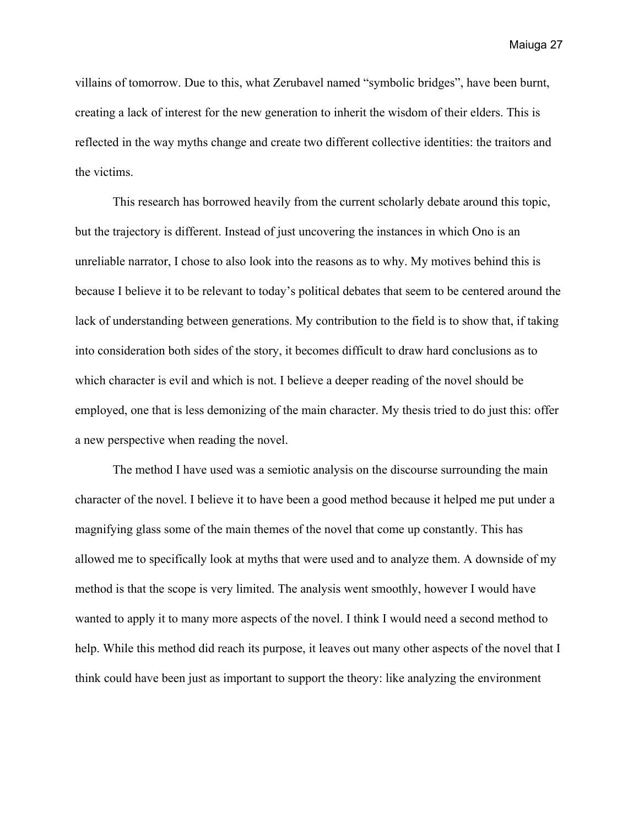villains of tomorrow. Due to this, what Zerubavel named "symbolic bridges", have been burnt, creating a lack of interest for the new generation to inherit the wisdom of their elders. This is reflected in the way myths change and create two different collective identities: the traitors and the victims.

This research has borrowed heavily from the current scholarly debate around this topic, but the trajectory is different. Instead of just uncovering the instances in which Ono is an unreliable narrator, I chose to also look into the reasons as to why. My motives behind this is because I believe it to be relevant to today's political debates that seem to be centered around the lack of understanding between generations. My contribution to the field is to show that, if taking into consideration both sides of the story, it becomes difficult to draw hard conclusions as to which character is evil and which is not. I believe a deeper reading of the novel should be employed, one that is less demonizing of the main character. My thesis tried to do just this: offer a new perspective when reading the novel.

The method I have used was a semiotic analysis on the discourse surrounding the main character of the novel. I believe it to have been a good method because it helped me put under a magnifying glass some of the main themes of the novel that come up constantly. This has allowed me to specifically look at myths that were used and to analyze them. A downside of my method is that the scope is very limited. The analysis went smoothly, however I would have wanted to apply it to many more aspects of the novel. I think I would need a second method to help. While this method did reach its purpose, it leaves out many other aspects of the novel that I think could have been just as important to support the theory: like analyzing the environment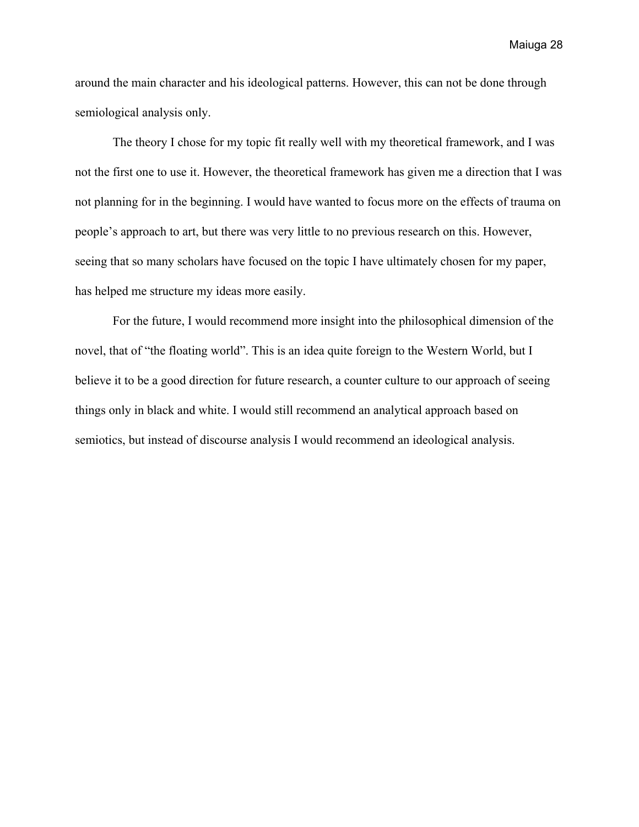around the main character and his ideological patterns. However, this can not be done through semiological analysis only.

The theory I chose for my topic fit really well with my theoretical framework, and I was not the first one to use it. However, the theoretical framework has given me a direction that I was not planning for in the beginning. I would have wanted to focus more on the effects of trauma on people's approach to art, but there was very little to no previous research on this. However, seeing that so many scholars have focused on the topic I have ultimately chosen for my paper, has helped me structure my ideas more easily.

For the future, I would recommend more insight into the philosophical dimension of the novel, that of "the floating world". This is an idea quite foreign to the Western World, but I believe it to be a good direction for future research, a counter culture to our approach of seeing things only in black and white. I would still recommend an analytical approach based on semiotics, but instead of discourse analysis I would recommend an ideological analysis.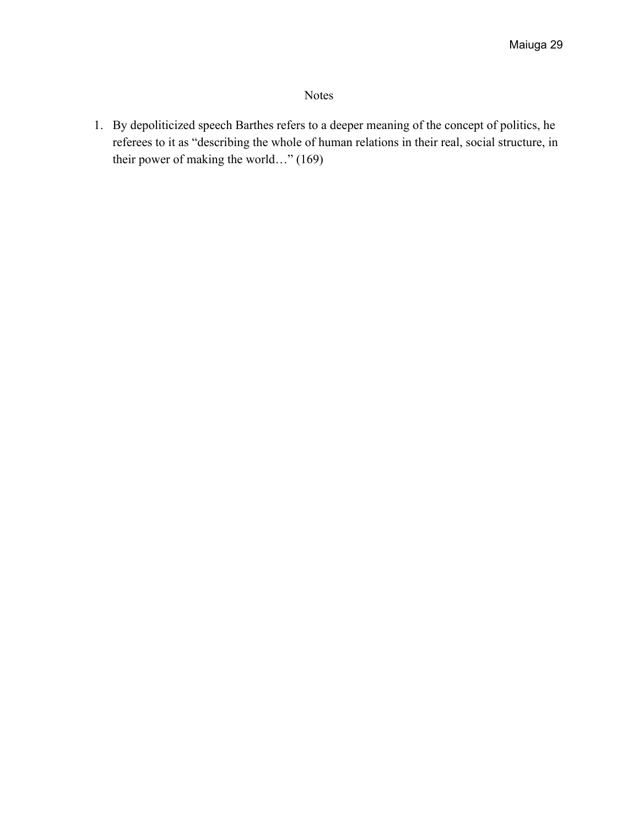# Notes

<span id="page-28-0"></span>1. By depoliticized speech Barthes refers to a deeper meaning of the concept of politics, he referees to it as "describing the whole of human relations in their real, social structure, in their power of making the world…" (169)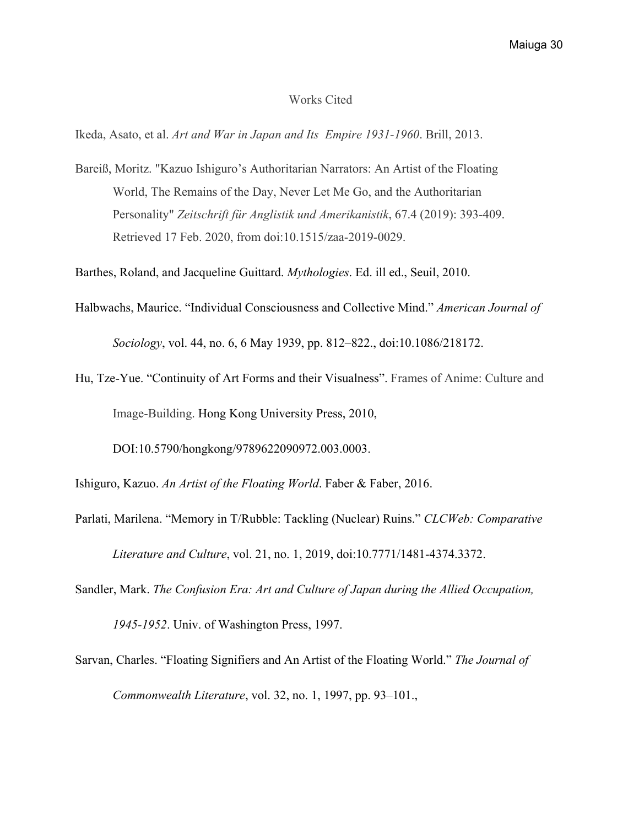#### Works Cited

<span id="page-29-0"></span>Ikeda, Asato, et al. *Art and War in Japan and Its Empire 1931-1960*. Brill, 2013.

Bareiß, Moritz. "Kazuo Ishiguro's Authoritarian Narrators: An Artist of the Floating World, The Remains of the Day, Never Let Me Go, and the Authoritarian Personality" *Zeitschrift für Anglistik und Amerikanistik*, 67.4 (2019): 393-409. Retrieved 17 Feb. 2020, from doi:10.1515/zaa-2019-0029.

Barthes, Roland, and Jacqueline Guittard. *Mythologies*. Ed. ill ed., Seuil, 2010.

- Halbwachs, Maurice. "Individual Consciousness and Collective Mind." *American Journal of Sociology*, vol. 44, no. 6, 6 May 1939, pp. 812–822., doi:10.1086/218172.
- Hu, Tze-Yue. "Continuity of Art Forms and their Visualness". Frames of Anime: Culture and Image-Building. Hong Kong University Press, 2010,

DOI:10.5790/hongkong/9789622090972.003.0003.

Ishiguro, Kazuo. *An Artist of the Floating World*. Faber & Faber, 2016.

Parlati, Marilena. "Memory in T/Rubble: Tackling (Nuclear) Ruins." *CLCWeb: Comparative Literature and Culture*, vol. 21, no. 1, 2019, doi:10.7771/1481-4374.3372.

Sandler, Mark. *The Confusion Era: Art and Culture of Japan during the Allied Occupation,*

*1945-1952*. Univ. of Washington Press, 1997.

Sarvan, Charles. "Floating Signifiers and An Artist of the Floating World." *The Journal of Commonwealth Literature*, vol. 32, no. 1, 1997, pp. 93–101.,